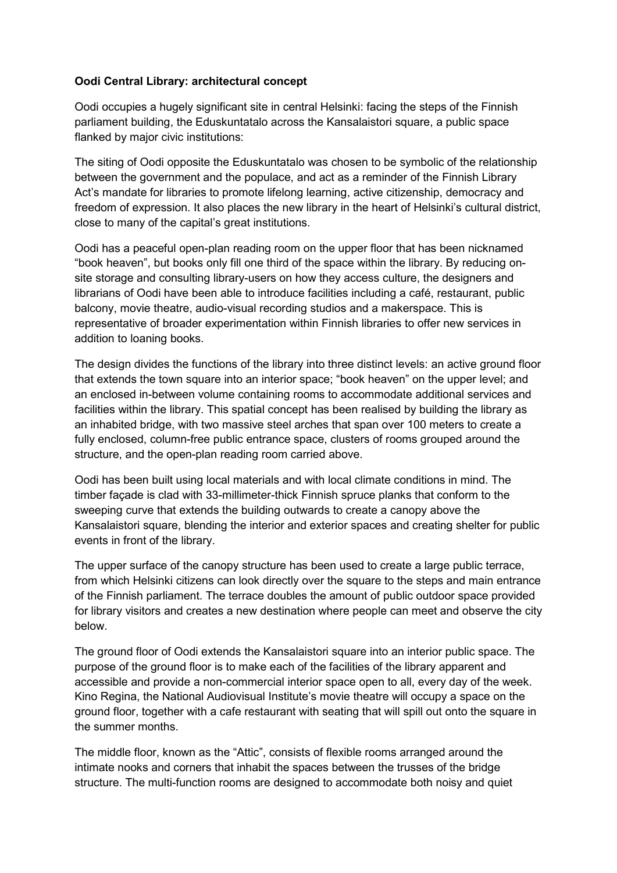## **Oodi Central Library: architectural concept**

Oodi occupies a hugely significant site in central Helsinki: facing the steps of the Finnish parliament building, the Eduskuntatalo across the Kansalaistori square, a public space flanked by major civic institutions:

The siting of Oodi opposite the Eduskuntatalo was chosen to be symbolic of the relationship between the government and the populace, and act as a reminder of the Finnish Library Act's mandate for libraries to promote lifelong learning, active citizenship, democracy and freedom of expression. It also places the new library in the heart of Helsinki's cultural district, close to many of the capital's great institutions.

Oodi has a peaceful open-plan reading room on the upper floor that has been nicknamed "book heaven", but books only fill one third of the space within the library. By reducing onsite storage and consulting library-users on how they access culture, the designers and librarians of Oodi have been able to introduce facilities including a café, restaurant, public balcony, movie theatre, audio-visual recording studios and a makerspace. This is representative of broader experimentation within Finnish libraries to offer new services in addition to loaning books.

The design divides the functions of the library into three distinct levels: an active ground floor that extends the town square into an interior space; "book heaven" on the upper level; and an enclosed in-between volume containing rooms to accommodate additional services and facilities within the library. This spatial concept has been realised by building the library as an inhabited bridge, with two massive steel arches that span over 100 meters to create a fully enclosed, column-free public entrance space, clusters of rooms grouped around the structure, and the open-plan reading room carried above.

Oodi has been built using local materials and with local climate conditions in mind. The timber façade is clad with 33-millimeter-thick Finnish spruce planks that conform to the sweeping curve that extends the building outwards to create a canopy above the Kansalaistori square, blending the interior and exterior spaces and creating shelter for public events in front of the library.

The upper surface of the canopy structure has been used to create a large public terrace, from which Helsinki citizens can look directly over the square to the steps and main entrance of the Finnish parliament. The terrace doubles the amount of public outdoor space provided for library visitors and creates a new destination where people can meet and observe the city below.

The ground floor of Oodi extends the Kansalaistori square into an interior public space. The purpose of the ground floor is to make each of the facilities of the library apparent and accessible and provide a non-commercial interior space open to all, every day of the week. Kino Regina, the National Audiovisual Institute's movie theatre will occupy a space on the ground floor, together with a cafe restaurant with seating that will spill out onto the square in the summer months.

The middle floor, known as the "Attic", consists of flexible rooms arranged around the intimate nooks and corners that inhabit the spaces between the trusses of the bridge structure. The multi-function rooms are designed to accommodate both noisy and quiet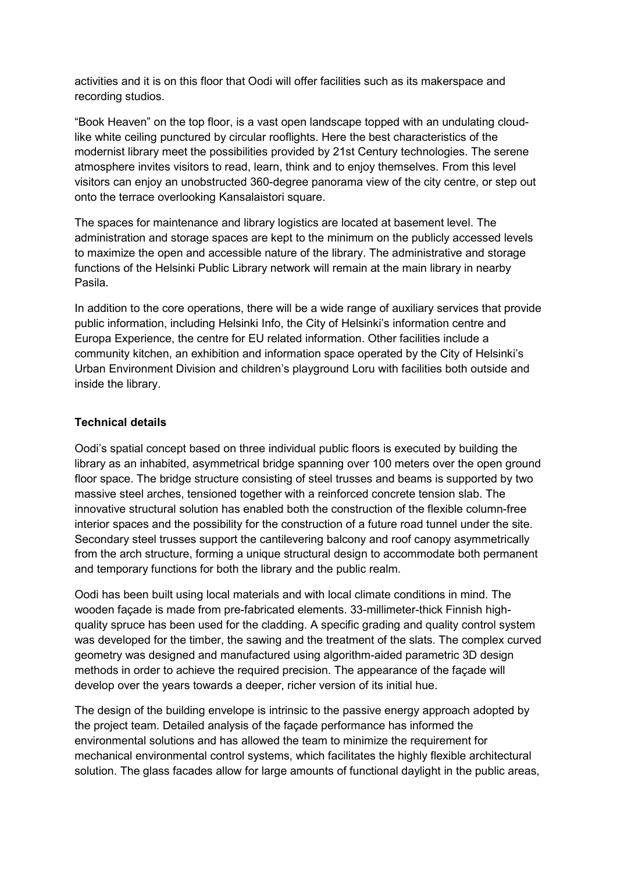activities and it is on this floor that Oodi will offer facilities such as its makerspace and recording studios.

"Book Heaven" on the top floor, is a vast open landscape topped with an undulating cloudlike white ceiling punctured by circular rooflights. Here the best characteristics of the modernist library meet the possibilities provided by 21st Century technologies. The serene atmosphere invites visitors to read, learn, think and to enjoy themselves. From this level visitors can enjoy an unobstructed 360-degree panorama view of the city centre, or step out onto the terrace overlooking Kansalaistori square.

The spaces for maintenance and library logistics are located at basement level. The administration and storage spaces are kept to the minimum on the publicly accessed levels to maximize the open and accessible nature of the library. The administrative and storage functions of the Helsinki Public Library network will remain at the main library in nearby Pasila.

In addition to the core operations, there will be a wide range of auxiliary services that provide public information, including Helsinki Info, the City of Helsinki's information centre and Europa Experience, the centre for EU related information. Other facilities include a community kitchen, an exhibition and information space operated by the City of Helsinki's Urban Environment Division and children's playground Loru with facilities both outside and inside the library.

## **Technical details**

Oodi's spatial concept based on three individual public floors is executed by building the library as an inhabited, asymmetrical bridge spanning over 100 meters over the open ground floor space. The bridge structure consisting of steel trusses and beams is supported by two massive steel arches, tensioned together with a reinforced concrete tension slab. The innovative structural solution has enabled both the construction of the flexible column-free interior spaces and the possibility for the construction of a future road tunnel under the site. Secondary steel trusses support the cantilevering balcony and roof canopy asymmetrically from the arch structure, forming a unique structural design to accommodate both permanent and temporary functions for both the library and the public realm.

Oodi has been built using local materials and with local climate conditions in mind. The wooden façade is made from pre-fabricated elements. 33-millimeter-thick Finnish highquality spruce has been used for the cladding. A specific grading and quality control system was developed for the timber, the sawing and the treatment of the slats. The complex curved geometry was designed and manufactured using algorithm-aided parametric 3D design methods in order to achieve the required precision. The appearance of the façade will develop over the years towards a deeper, richer version of its initial hue.

The design of the building envelope is intrinsic to the passive energy approach adopted by the project team. Detailed analysis of the façade performance has informed the environmental solutions and has allowed the team to minimize the requirement for mechanical environmental control systems, which facilitates the highly flexible architectural solution. The glass facades allow for large amounts of functional daylight in the public areas,